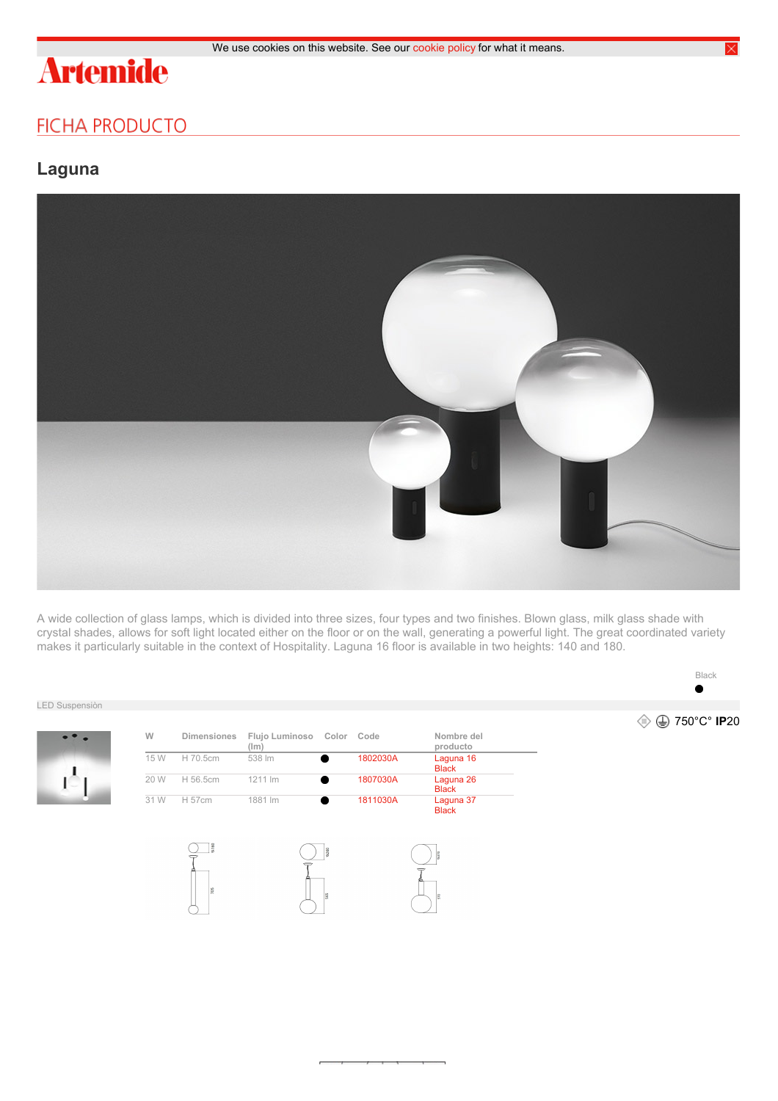# **Artemide**

## **FICHA PRODUCTO**

### **Laguna**



A wide collection of glass lamps, which is divided into three sizes, four types and two finishes. Blown glass, milk glass shade with crystal shades, allows for soft light located either on the floor or on the wall, generating a powerful light. The great coordinated variety makes it particularly suitable in the context of Hospitality. Laguna 16 floor is available in two heights: 140 and 180.

#### LED Suspensiòn



| W    | <b>Dimensiones</b> | Flujo Luminoso Color<br>(lm) |            | Code     | Nombre del<br>producto    |  |
|------|--------------------|------------------------------|------------|----------|---------------------------|--|
| 15 W | H 70.5cm           | 538 lm                       |            | 1802030A | Laguna 16<br><b>Black</b> |  |
| 20 W | H 56.5cm           | 1211 lm                      |            | 1807030A | Laguna 26<br><b>Black</b> |  |
| 31 W | H 57cm             | 1881 lm                      |            | 1811030A | Laguna 37<br><b>Black</b> |  |
|      | 9160<br>705        |                              | 8260<br>18 |          | $\frac{8}{30}$<br>ß       |  |



750°C° **IP**20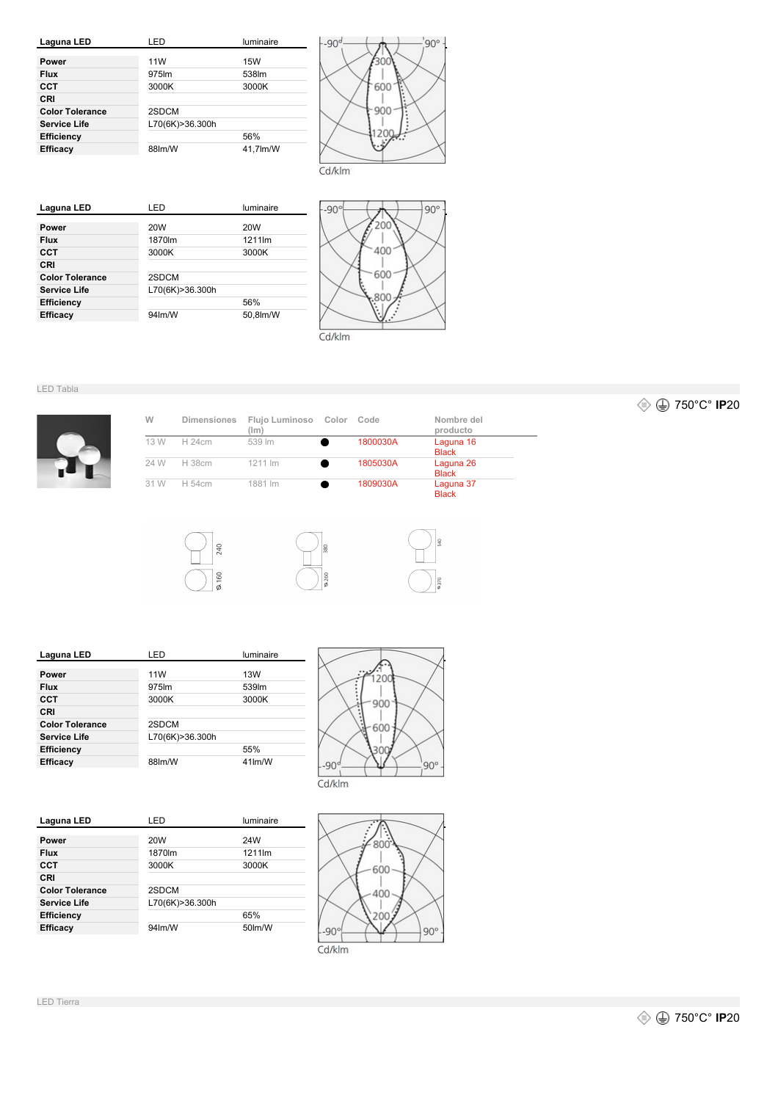



| Laguna LED             | I FD                | luminaire       |
|------------------------|---------------------|-----------------|
| Power                  | 20W                 | 20 <sub>W</sub> |
| <b>Flux</b>            | 1870lm              | 1211lm          |
| CCT                    | 3000K               | 3000K           |
| CRI                    |                     |                 |
| <b>Color Tolerance</b> | 2SDCM               |                 |
| <b>Service Life</b>    | L70(6K)>36.300h     |                 |
| <b>Efficiency</b>      |                     | 56%             |
| <b>Efficacy</b>        | 94 <sub>lm</sub> /W | 50.8lm/W        |
|                        |                     |                 |



LED Tabla

| W    | <b>Dimensiones</b> | Flujo Luminoso<br>(Im) | Color | Code     | Nombre del<br>producto    |
|------|--------------------|------------------------|-------|----------|---------------------------|
| 13 W | H 24cm             | 539 lm                 |       | 1800030A | Laguna 16<br><b>Black</b> |
| 24 W | H 38cm             | 1211 lm                |       | 1805030A | Laguna 26<br><b>Black</b> |
| 31 W | H 54cm             | 1881 lm                |       | 1809030A | Laguna 37<br><b>Black</b> |





| Laguna LED             | LED             | luminaire |
|------------------------|-----------------|-----------|
|                        |                 |           |
| Power                  | 11W             | 13W       |
| <b>Flux</b>            | 975lm           | 539m      |
| CCT                    | 3000K           | 3000K     |
| CRI                    |                 |           |
| <b>Color Tolerance</b> | 2SDCM           |           |
| Service Life           | L70(6K)>36.300h |           |
| <b>Efficiency</b>      |                 | 55%       |
| <b>Efficacy</b>        | 88lm/W          | 41lm/W    |
|                        |                 |           |



| Laguna LED             | LED             | luminaire |
|------------------------|-----------------|-----------|
|                        |                 |           |
| Power                  | 20W             | 24W       |
| <b>Flux</b>            | 1870lm          | 1211lm    |
| CCT                    | 3000K           | 3000K     |
| CRI                    |                 |           |
| <b>Color Tolerance</b> | 2SDCM           |           |
| <b>Service Life</b>    | L70(6K)>36.300h |           |
| <b>Efficiency</b>      |                 | 65%       |
| <b>Efficacy</b>        | 94lm/W          | 50lm/W    |
|                        |                 |           |



750°C° **IP**20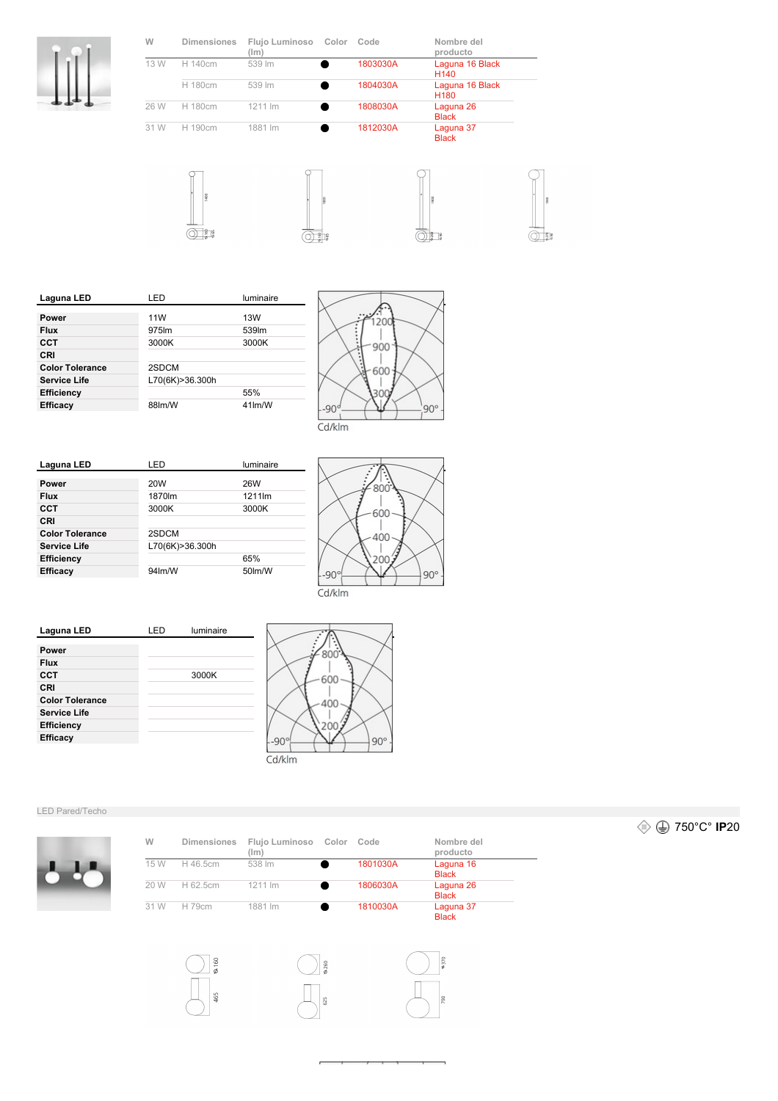

| W    | <b>Dimensiones</b> | Flujo Luminoso<br>(lm) | Color | Code     | Nombre del<br>producto              |
|------|--------------------|------------------------|-------|----------|-------------------------------------|
| 13 W | H 140cm            | 539 lm                 |       | 1803030A | Laguna 16 Black<br>H <sub>140</sub> |
|      | H 180cm            | 539 lm                 |       | 1804030A | Laguna 16 Black<br>H <sub>180</sub> |
| 26 W | H 180cm            | 1211 lm                |       | 1808030A | Laguna 26<br><b>Black</b>           |
| 31 W | H 190cm            | 1881 lm                |       | 1812030A | Laguna 37<br><b>Black</b>           |
|      | $\sim$             |                        |       |          |                                     |

 $\circledcirc$ 





 $\frac{8}{3}$   $\frac{8}{3}$ 



| Laguna LED             | LED               | luminaire |
|------------------------|-------------------|-----------|
|                        |                   |           |
| Power                  | 11W               | 13W       |
| <b>Flux</b>            | 975 <sub>lm</sub> | 539lm     |
| CCT                    | 3000K             | 3000K     |
| CRI                    |                   |           |
| <b>Color Tolerance</b> | 2SDCM             |           |
| Service Life           | L70(6K)>36.300h   |           |
| <b>Efficiency</b>      |                   | 55%       |
| Efficacy               | 88lm/W            | 41lm/W    |
|                        |                   |           |



Cd/klm





Cd/klm



 $\sum_{\sigma}$ 

465



#### LED Pared/Techo



| W    | <b>Dimensiones</b> | Flujo Luminoso<br>(lm) | Color | Code     | Nombre del<br>producto    |
|------|--------------------|------------------------|-------|----------|---------------------------|
| 15 W | H 46.5cm           | 538 lm                 |       | 1801030A | Laguna 16<br><b>Black</b> |
| 20 W | H 62.5cm           | 1211 lm                |       | 1806030A | Laguna 26<br><b>Black</b> |
| 31 W | H 79cm             | 1881 lm                |       | 1810030A | Laguna 37<br><b>Black</b> |

625

750°C° **IP**20